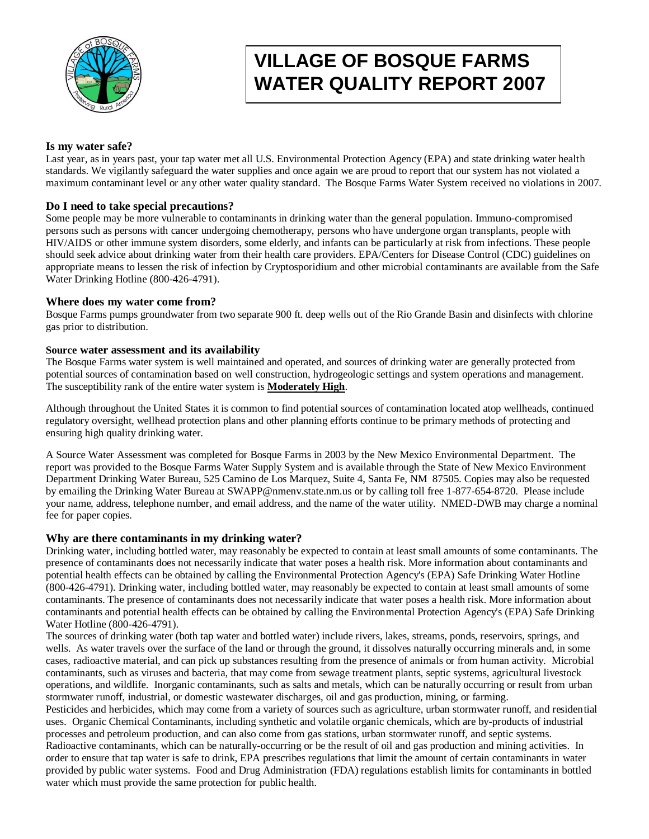

# **VILLAGE OF BOSQUE FARMS WATER QUALITY REPORT 2007**

#### **Is my water safe?**

Last year, as in years past, your tap water met all U.S. Environmental Protection Agency (EPA) and state drinking water health standards. We vigilantly safeguard the water supplies and once again we are proud to report that our system has not violated a maximum contaminant level or any other water quality standard. The Bosque Farms Water System received no violations in 2007.

#### **Do I need to take special precautions?**

Some people may be more vulnerable to contaminants in drinking water than the general population. Immuno-compromised persons such as persons with cancer undergoing chemotherapy, persons who have undergone organ transplants, people with HIV/AIDS or other immune system disorders, some elderly, and infants can be particularly at risk from infections. These people should seek advice about drinking water from their health care providers. EPA/Centers for Disease Control (CDC) guidelines on appropriate means to lessen the risk of infection by Cryptosporidium and other microbial contaminants are available from the Safe Water Drinking Hotline (800-426-4791).

#### **Where does my water come from?**

Bosque Farms pumps groundwater from two separate 900 ft. deep wells out of the Rio Grande Basin and disinfects with chlorine gas prior to distribution.

#### **Source water assessment and its availability**

The Bosque Farms water system is well maintained and operated, and sources of drinking water are generally protected from potential sources of contamination based on well construction, hydrogeologic settings and system operations and management. The susceptibility rank of the entire water system is **Moderately High**.

Although throughout the United States it is common to find potential sources of contamination located atop wellheads, continued regulatory oversight, wellhead protection plans and other planning efforts continue to be primary methods of protecting and ensuring high quality drinking water.

A Source Water Assessment was completed for Bosque Farms in 2003 by the New Mexico Environmental Department. The report was provided to the Bosque Farms Water Supply System and is available through the State of New Mexico Environment Department Drinking Water Bureau, 525 Camino de Los Marquez, Suite 4, Santa Fe, NM 87505. Copies may also be requested by emailing the Drinking Water Bureau at SWAPP@nmenv.state.nm.us or by calling toll free 1-877-654-8720. Please include your name, address, telephone number, and email address, and the name of the water utility. NMED-DWB may charge a nominal fee for paper copies.

#### **Why are there contaminants in my drinking water?**

Drinking water, including bottled water, may reasonably be expected to contain at least small amounts of some contaminants. The presence of contaminants does not necessarily indicate that water poses a health risk. More information about contaminants and potential health effects can be obtained by calling the Environmental Protection Agency's (EPA) Safe Drinking Water Hotline (800-426-4791). Drinking water, including bottled water, may reasonably be expected to contain at least small amounts of some contaminants. The presence of contaminants does not necessarily indicate that water poses a health risk. More information about contaminants and potential health effects can be obtained by calling the Environmental Protection Agency's (EPA) Safe Drinking Water Hotline (800-426-4791).

The sources of drinking water (both tap water and bottled water) include rivers, lakes, streams, ponds, reservoirs, springs, and wells. As water travels over the surface of the land or through the ground, it dissolves naturally occurring minerals and, in some cases, radioactive material, and can pick up substances resulting from the presence of animals or from human activity. Microbial contaminants, such as viruses and bacteria, that may come from sewage treatment plants, septic systems, agricultural livestock operations, and wildlife. Inorganic contaminants, such as salts and metals, which can be naturally occurring or result from urban stormwater runoff, industrial, or domestic wastewater discharges, oil and gas production, mining, or farming.

Pesticides and herbicides, which may come from a variety of sources such as agriculture, urban stormwater runoff, and residential uses. Organic Chemical Contaminants, including synthetic and volatile organic chemicals, which are by-products of industrial processes and petroleum production, and can also come from gas stations, urban stormwater runoff, and septic systems. Radioactive contaminants, which can be naturally-occurring or be the result of oil and gas production and mining activities. In order to ensure that tap water is safe to drink, EPA prescribes regulations that limit the amount of certain contaminants in water provided by public water systems. Food and Drug Administration (FDA) regulations establish limits for contaminants in bottled water which must provide the same protection for public health.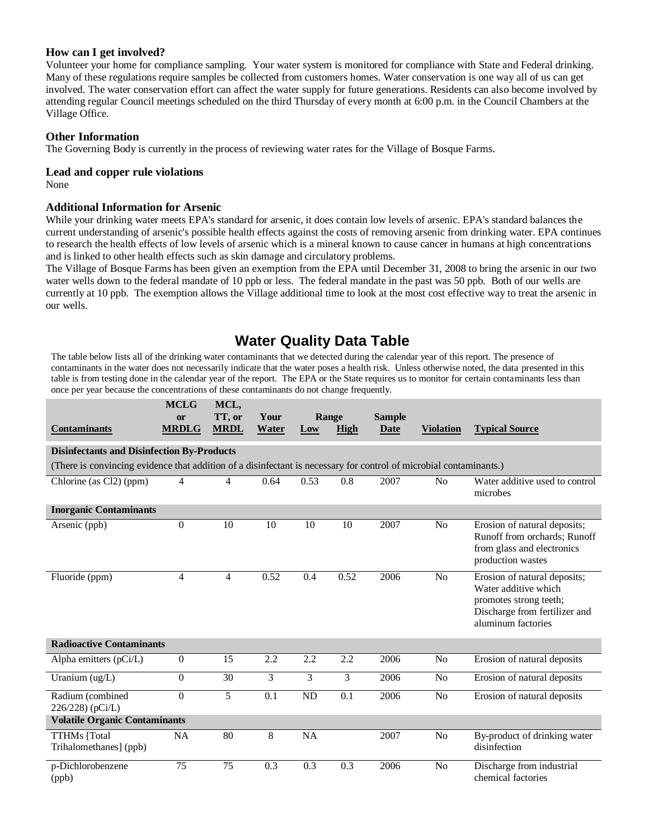#### **How can I get involved?**

Volunteer your home for compliance sampling. Your water system is monitored for compliance with State and Federal drinking. Many of these regulations require samples be collected from customers homes. Water conservation is one way all of us can get involved. The water conservation effort can affect the water supply for future generations. Residents can also become involved by attending regular Council meetings scheduled on the third Thursday of every month at 6:00 p.m. in the Council Chambers at the Village Office.

#### **Other Information**

The Governing Body is currently in the process of reviewing water rates for the Village of Bosque Farms.

#### **Lead and copper rule violations**

None

#### **Additional Information for Arsenic**

While your drinking water meets EPA's standard for arsenic, it does contain low levels of arsenic. EPA's standard balances the current understanding of arsenic's possible health effects against the costs of removing arsenic from drinking water. EPA continues to research the health effects of low levels of arsenic which is a mineral known to cause cancer in humans at high concentrations and is linked to other health effects such as skin damage and circulatory problems.

The Village of Bosque Farms has been given an exemption from the EPA until December 31, 2008 to bring the arsenic in our two water wells down to the federal mandate of 10 ppb or less. The federal mandate in the past was 50 ppb. Both of our wells are currently at 10 ppb. The exemption allows the Village additional time to look at the most cost effective way to treat the arsenic in our wells.

### **Water Quality Data Table**

The table below lists all of the drinking water contaminants that we detected during the calendar year of this report. The presence of contaminants in the water does not necessarily indicate that the water poses a health risk. Unless otherwise noted, the data presented in this table is from testing done in the calendar year of the report. The EPA or the State requires us to monitor for certain contaminants less than once per year because the concentrations of these contaminants do not change frequently.

| <b>Contaminants</b>                                                                                                | <b>MCLG</b><br>or<br><b>MRDLG</b> | MCL,<br>TT, or<br><b>MRDL</b> | Your<br>Water | Low       | Range<br>High | <b>Sample</b><br><b>Date</b> | <b>Violation</b> | <b>Typical Source</b>                                                                                                                 |  |
|--------------------------------------------------------------------------------------------------------------------|-----------------------------------|-------------------------------|---------------|-----------|---------------|------------------------------|------------------|---------------------------------------------------------------------------------------------------------------------------------------|--|
| <b>Disinfectants and Disinfection By-Products</b>                                                                  |                                   |                               |               |           |               |                              |                  |                                                                                                                                       |  |
| (There is convincing evidence that addition of a disinfectant is necessary for control of microbial contaminants.) |                                   |                               |               |           |               |                              |                  |                                                                                                                                       |  |
| Chlorine (as Cl2) (ppm)                                                                                            | 4                                 | 4                             | 0.64          | 0.53      | 0.8           | 2007                         | N <sub>0</sub>   | Water additive used to control<br>microbes                                                                                            |  |
| <b>Inorganic Contaminants</b>                                                                                      |                                   |                               |               |           |               |                              |                  |                                                                                                                                       |  |
| Arsenic (ppb)                                                                                                      | $\overline{0}$                    | 10                            | 10            | 10        | 10            | 2007                         | N <sub>0</sub>   | Erosion of natural deposits;<br>Runoff from orchards; Runoff<br>from glass and electronics<br>production wastes                       |  |
| Fluoride (ppm)                                                                                                     | 4                                 | $\overline{4}$                | 0.52          | 0.4       | 0.52          | 2006                         | N <sub>0</sub>   | Erosion of natural deposits;<br>Water additive which<br>promotes strong teeth;<br>Discharge from fertilizer and<br>aluminum factories |  |
| <b>Radioactive Contaminants</b>                                                                                    |                                   |                               |               |           |               |                              |                  |                                                                                                                                       |  |
| Alpha emitters $(pCi/L)$                                                                                           | $\overline{0}$                    | 15                            | 2.2           | 2.2       | 2.2           | 2006                         | N <sub>0</sub>   | Erosion of natural deposits                                                                                                           |  |
| Uranium (ug/L)                                                                                                     | $\overline{0}$                    | 30                            | 3             | 3         | 3             | 2006                         | N <sub>0</sub>   | Erosion of natural deposits                                                                                                           |  |
| Radium (combined<br>226/228) (pCi/L)                                                                               | $\theta$                          | 5                             | 0.1           | <b>ND</b> | 0.1           | 2006                         | N <sub>o</sub>   | Erosion of natural deposits                                                                                                           |  |
| <b>Volatile Organic Contaminants</b>                                                                               |                                   |                               |               |           |               |                              |                  |                                                                                                                                       |  |
| <b>TTHMs</b> [Total<br>Trihalomethanes] (ppb)                                                                      | <b>NA</b>                         | 80                            | 8             | NA        |               | 2007                         | N <sub>0</sub>   | By-product of drinking water<br>disinfection                                                                                          |  |
| p-Dichlorobenzene<br>(ppb)                                                                                         | 75                                | 75                            | 0.3           | 0.3       | 0.3           | 2006                         | No               | Discharge from industrial<br>chemical factories                                                                                       |  |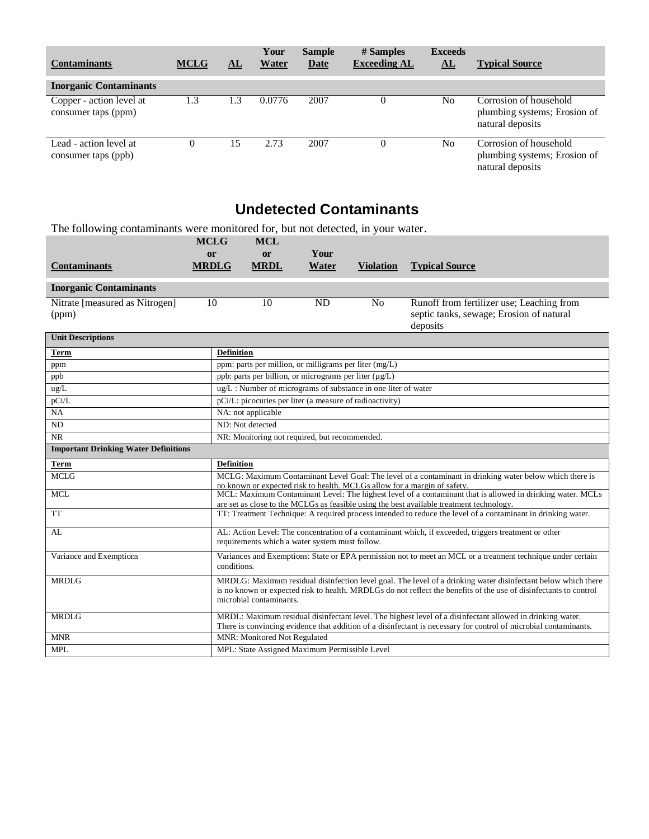| <b>Contaminants</b>                             | <b>MCLG</b> | AL  | Your<br>Water | <b>Sample</b><br><b>Date</b> | # Samples<br><b>Exceeding AL</b> | <b>Exceeds</b><br>${\bf \underline{AL}}$ | <b>Typical Source</b>                                                      |
|-------------------------------------------------|-------------|-----|---------------|------------------------------|----------------------------------|------------------------------------------|----------------------------------------------------------------------------|
| <b>Inorganic Contaminants</b>                   |             |     |               |                              |                                  |                                          |                                                                            |
| Copper - action level at<br>consumer taps (ppm) | 1.3         | 1.3 | 0.0776        | 2007                         | $\theta$                         | N <sub>0</sub>                           | Corrosion of household<br>plumbing systems; Erosion of<br>natural deposits |
| Lead - action level at<br>consumer taps (ppb)   |             | 15  | 2.73          | 2007                         | $\theta$                         | N <sub>0</sub>                           | Corrosion of household<br>plumbing systems; Erosion of<br>natural deposits |

### **Undetected Contaminants**

The following contaminants were monitored for, but not detected, in your water.

|                                             | <b>MCLG</b>                                                                                                                                            | <b>MCL</b>                                                                                                                                                                                                                                                    |               |                                                          |                                                                                                                                                                                        |  |  |  |  |  |
|---------------------------------------------|--------------------------------------------------------------------------------------------------------------------------------------------------------|---------------------------------------------------------------------------------------------------------------------------------------------------------------------------------------------------------------------------------------------------------------|---------------|----------------------------------------------------------|----------------------------------------------------------------------------------------------------------------------------------------------------------------------------------------|--|--|--|--|--|
| <b>Contaminants</b>                         | <sub>or</sub><br><b>MRDLG</b>                                                                                                                          | or<br><b>MRDL</b>                                                                                                                                                                                                                                             | Your<br>Water | <b>Violation</b>                                         | <b>Typical Source</b>                                                                                                                                                                  |  |  |  |  |  |
| <b>Inorganic Contaminants</b>               |                                                                                                                                                        |                                                                                                                                                                                                                                                               |               |                                                          |                                                                                                                                                                                        |  |  |  |  |  |
| Nitrate [measured as Nitrogen]              | 10                                                                                                                                                     | 10                                                                                                                                                                                                                                                            | <b>ND</b>     | No                                                       | Runoff from fertilizer use; Leaching from                                                                                                                                              |  |  |  |  |  |
| (ppm)                                       |                                                                                                                                                        |                                                                                                                                                                                                                                                               |               |                                                          | septic tanks, sewage; Erosion of natural<br>deposits                                                                                                                                   |  |  |  |  |  |
| <b>Unit Descriptions</b>                    |                                                                                                                                                        |                                                                                                                                                                                                                                                               |               |                                                          |                                                                                                                                                                                        |  |  |  |  |  |
| <b>Term</b>                                 | <b>Definition</b>                                                                                                                                      |                                                                                                                                                                                                                                                               |               |                                                          |                                                                                                                                                                                        |  |  |  |  |  |
| ppm                                         |                                                                                                                                                        | ppm: parts per million, or milligrams per liter (mg/L)                                                                                                                                                                                                        |               |                                                          |                                                                                                                                                                                        |  |  |  |  |  |
| ppb                                         |                                                                                                                                                        | ppb: parts per billion, or micrograms per liter (µg/L)                                                                                                                                                                                                        |               |                                                          |                                                                                                                                                                                        |  |  |  |  |  |
| ug/L                                        |                                                                                                                                                        | ug/L: Number of micrograms of substance in one liter of water                                                                                                                                                                                                 |               |                                                          |                                                                                                                                                                                        |  |  |  |  |  |
| pCi/L                                       |                                                                                                                                                        |                                                                                                                                                                                                                                                               |               | pCi/L: picocuries per liter (a measure of radioactivity) |                                                                                                                                                                                        |  |  |  |  |  |
| NA                                          |                                                                                                                                                        | NA: not applicable                                                                                                                                                                                                                                            |               |                                                          |                                                                                                                                                                                        |  |  |  |  |  |
| <b>ND</b>                                   |                                                                                                                                                        | ND: Not detected                                                                                                                                                                                                                                              |               |                                                          |                                                                                                                                                                                        |  |  |  |  |  |
| <b>NR</b>                                   |                                                                                                                                                        | NR: Monitoring not required, but recommended.                                                                                                                                                                                                                 |               |                                                          |                                                                                                                                                                                        |  |  |  |  |  |
| <b>Important Drinking Water Definitions</b> |                                                                                                                                                        |                                                                                                                                                                                                                                                               |               |                                                          |                                                                                                                                                                                        |  |  |  |  |  |
| <b>Term</b>                                 | <b>Definition</b>                                                                                                                                      |                                                                                                                                                                                                                                                               |               |                                                          |                                                                                                                                                                                        |  |  |  |  |  |
| <b>MCLG</b>                                 |                                                                                                                                                        |                                                                                                                                                                                                                                                               |               |                                                          | MCLG: Maximum Contaminant Level Goal: The level of a contaminant in drinking water below which there is                                                                                |  |  |  |  |  |
| <b>MCL</b>                                  |                                                                                                                                                        |                                                                                                                                                                                                                                                               |               |                                                          | no known or expected risk to health. MCLGs allow for a margin of safety.<br>MCL: Maximum Contaminant Level: The highest level of a contaminant that is allowed in drinking water. MCLs |  |  |  |  |  |
|                                             |                                                                                                                                                        |                                                                                                                                                                                                                                                               |               |                                                          | are set as close to the MCLGs as feasible using the best available treatment technology.                                                                                               |  |  |  |  |  |
| <b>TT</b>                                   |                                                                                                                                                        |                                                                                                                                                                                                                                                               |               |                                                          | TT: Treatment Technique: A required process intended to reduce the level of a contaminant in drinking water.                                                                           |  |  |  |  |  |
| AL                                          | AL: Action Level: The concentration of a contaminant which, if exceeded, triggers treatment or other<br>requirements which a water system must follow. |                                                                                                                                                                                                                                                               |               |                                                          |                                                                                                                                                                                        |  |  |  |  |  |
| Variance and Exemptions                     |                                                                                                                                                        | Variances and Exemptions: State or EPA permission not to meet an MCL or a treatment technique under certain<br>conditions.                                                                                                                                    |               |                                                          |                                                                                                                                                                                        |  |  |  |  |  |
| <b>MRDLG</b>                                |                                                                                                                                                        | MRDLG: Maximum residual disinfection level goal. The level of a drinking water disinfectant below which there<br>is no known or expected risk to health. MRDLGs do not reflect the benefits of the use of disinfectants to control<br>microbial contaminants. |               |                                                          |                                                                                                                                                                                        |  |  |  |  |  |
| <b>MRDLG</b>                                |                                                                                                                                                        |                                                                                                                                                                                                                                                               |               |                                                          | MRDL: Maximum residual disinfectant level. The highest level of a disinfectant allowed in drinking water.                                                                              |  |  |  |  |  |
|                                             |                                                                                                                                                        |                                                                                                                                                                                                                                                               |               |                                                          | There is convincing evidence that addition of a disinfectant is necessary for control of microbial contaminants.                                                                       |  |  |  |  |  |
| <b>MNR</b>                                  |                                                                                                                                                        | MNR: Monitored Not Regulated                                                                                                                                                                                                                                  |               |                                                          |                                                                                                                                                                                        |  |  |  |  |  |
| <b>MPL</b>                                  | MPL: State Assigned Maximum Permissible Level                                                                                                          |                                                                                                                                                                                                                                                               |               |                                                          |                                                                                                                                                                                        |  |  |  |  |  |